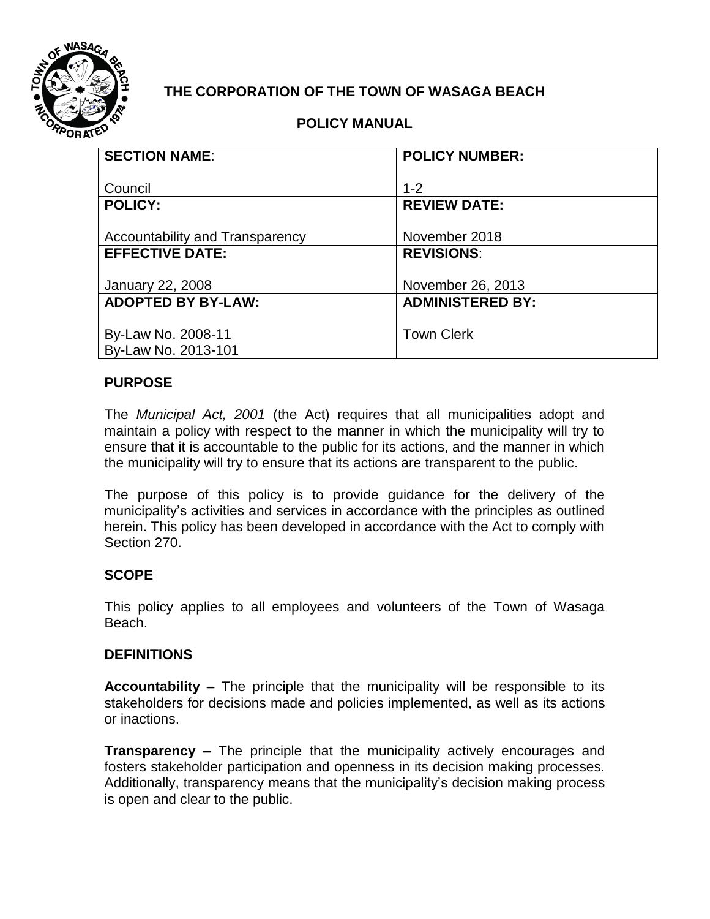

# **THE CORPORATION OF THE TOWN OF WASAGA BEACH**

## **POLICY MANUAL**

| <b>SECTION NAME:</b>            | <b>POLICY NUMBER:</b>   |
|---------------------------------|-------------------------|
|                                 |                         |
| Council                         | $1 - 2$                 |
| <b>POLICY:</b>                  | <b>REVIEW DATE:</b>     |
|                                 |                         |
| Accountability and Transparency | November 2018           |
| <b>EFFECTIVE DATE:</b>          | <b>REVISIONS:</b>       |
|                                 |                         |
| <b>January 22, 2008</b>         | November 26, 2013       |
| <b>ADOPTED BY BY-LAW:</b>       | <b>ADMINISTERED BY:</b> |
|                                 |                         |
| By-Law No. 2008-11              | <b>Town Clerk</b>       |
| By-Law No. 2013-101             |                         |

## **PURPOSE**

The *Municipal Act, 2001* (the Act) requires that all municipalities adopt and maintain a policy with respect to the manner in which the municipality will try to ensure that it is accountable to the public for its actions, and the manner in which the municipality will try to ensure that its actions are transparent to the public.

The purpose of this policy is to provide guidance for the delivery of the municipality's activities and services in accordance with the principles as outlined herein. This policy has been developed in accordance with the Act to comply with Section 270.

#### **SCOPE**

This policy applies to all employees and volunteers of the Town of Wasaga Beach.

#### **DEFINITIONS**

**Accountability –** The principle that the municipality will be responsible to its stakeholders for decisions made and policies implemented, as well as its actions or inactions.

**Transparency –** The principle that the municipality actively encourages and fosters stakeholder participation and openness in its decision making processes. Additionally, transparency means that the municipality's decision making process is open and clear to the public.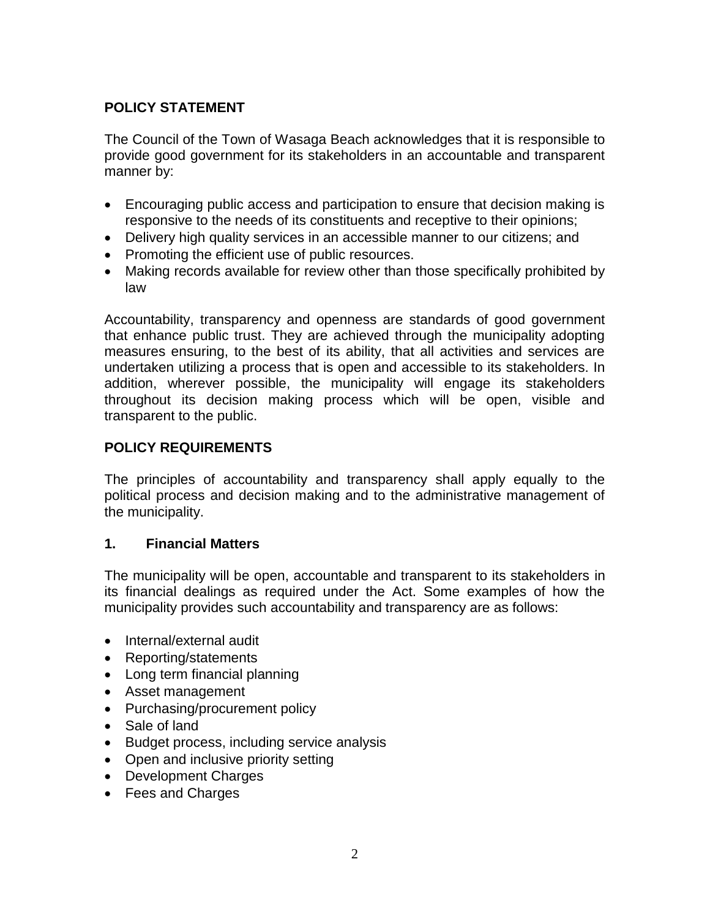## **POLICY STATEMENT**

The Council of the Town of Wasaga Beach acknowledges that it is responsible to provide good government for its stakeholders in an accountable and transparent manner by:

- Encouraging public access and participation to ensure that decision making is responsive to the needs of its constituents and receptive to their opinions;
- Delivery high quality services in an accessible manner to our citizens; and
- Promoting the efficient use of public resources.
- Making records available for review other than those specifically prohibited by law

Accountability, transparency and openness are standards of good government that enhance public trust. They are achieved through the municipality adopting measures ensuring, to the best of its ability, that all activities and services are undertaken utilizing a process that is open and accessible to its stakeholders. In addition, wherever possible, the municipality will engage its stakeholders throughout its decision making process which will be open, visible and transparent to the public.

## **POLICY REQUIREMENTS**

The principles of accountability and transparency shall apply equally to the political process and decision making and to the administrative management of the municipality.

#### **1. Financial Matters**

The municipality will be open, accountable and transparent to its stakeholders in its financial dealings as required under the Act. Some examples of how the municipality provides such accountability and transparency are as follows:

- Internal/external audit
- Reporting/statements
- Long term financial planning
- Asset management
- Purchasing/procurement policy
- Sale of land
- Budget process, including service analysis
- Open and inclusive priority setting
- Development Charges
- Fees and Charges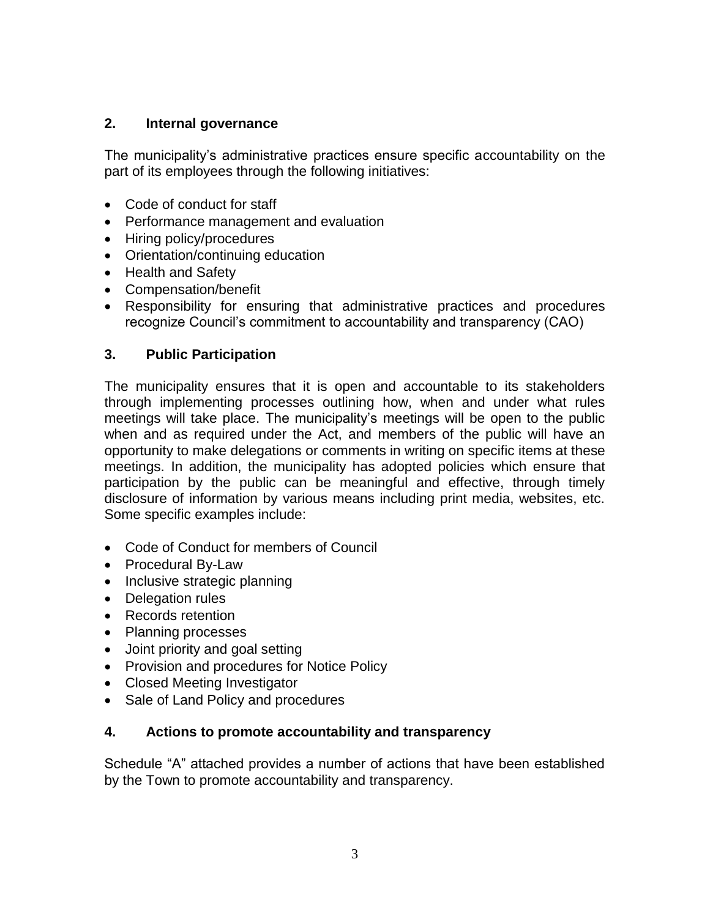### **2. Internal governance**

The municipality's administrative practices ensure specific accountability on the part of its employees through the following initiatives:

- Code of conduct for staff
- Performance management and evaluation
- Hiring policy/procedures
- Orientation/continuing education
- Health and Safety
- Compensation/benefit
- Responsibility for ensuring that administrative practices and procedures recognize Council's commitment to accountability and transparency (CAO)

#### **3. Public Participation**

The municipality ensures that it is open and accountable to its stakeholders through implementing processes outlining how, when and under what rules meetings will take place. The municipality's meetings will be open to the public when and as required under the Act, and members of the public will have an opportunity to make delegations or comments in writing on specific items at these meetings. In addition, the municipality has adopted policies which ensure that participation by the public can be meaningful and effective, through timely disclosure of information by various means including print media, websites, etc. Some specific examples include:

- Code of Conduct for members of Council
- Procedural By-Law
- Inclusive strategic planning
- Delegation rules
- Records retention
- Planning processes
- Joint priority and goal setting
- Provision and procedures for Notice Policy
- Closed Meeting Investigator
- Sale of Land Policy and procedures

#### **4. Actions to promote accountability and transparency**

Schedule "A" attached provides a number of actions that have been established by the Town to promote accountability and transparency.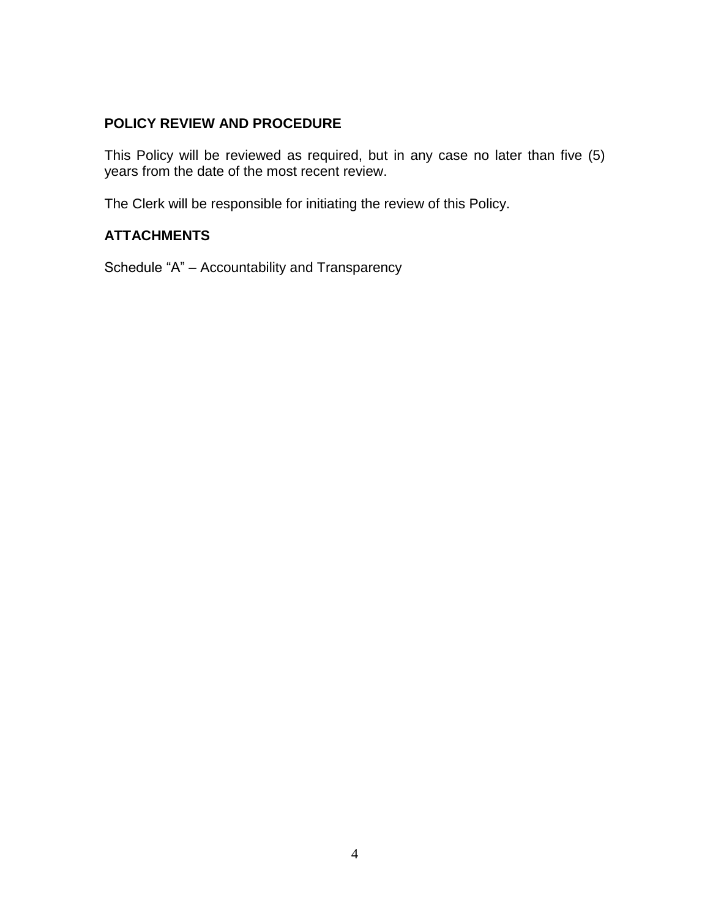### **POLICY REVIEW AND PROCEDURE**

This Policy will be reviewed as required, but in any case no later than five (5) years from the date of the most recent review.

The Clerk will be responsible for initiating the review of this Policy.

## **ATTACHMENTS**

Schedule "A" – Accountability and Transparency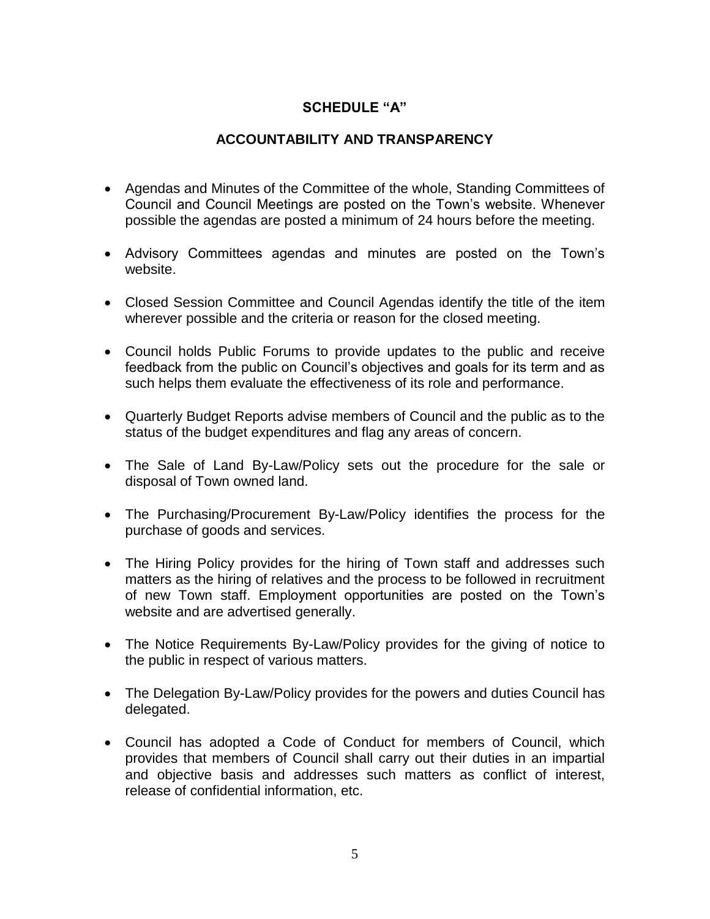## **SCHEDULE "A"**

### **ACCOUNTABILITY AND TRANSPARENCY**

- Agendas and Minutes of the Committee of the whole, Standing Committees of Council and Council Meetings are posted on the Town's website. Whenever possible the agendas are posted a minimum of 24 hours before the meeting.
- Advisory Committees agendas and minutes are posted on the Town's website.
- Closed Session Committee and Council Agendas identify the title of the item wherever possible and the criteria or reason for the closed meeting.
- Council holds Public Forums to provide updates to the public and receive feedback from the public on Council's objectives and goals for its term and as such helps them evaluate the effectiveness of its role and performance.
- Quarterly Budget Reports advise members of Council and the public as to the status of the budget expenditures and flag any areas of concern.
- The Sale of Land By-Law/Policy sets out the procedure for the sale or disposal of Town owned land.
- The Purchasing/Procurement By-Law/Policy identifies the process for the purchase of goods and services.
- The Hiring Policy provides for the hiring of Town staff and addresses such matters as the hiring of relatives and the process to be followed in recruitment of new Town staff. Employment opportunities are posted on the Town's website and are advertised generally.
- The Notice Requirements By-Law/Policy provides for the giving of notice to the public in respect of various matters.
- The Delegation By-Law/Policy provides for the powers and duties Council has delegated.
- Council has adopted a Code of Conduct for members of Council, which provides that members of Council shall carry out their duties in an impartial and objective basis and addresses such matters as conflict of interest, release of confidential information, etc.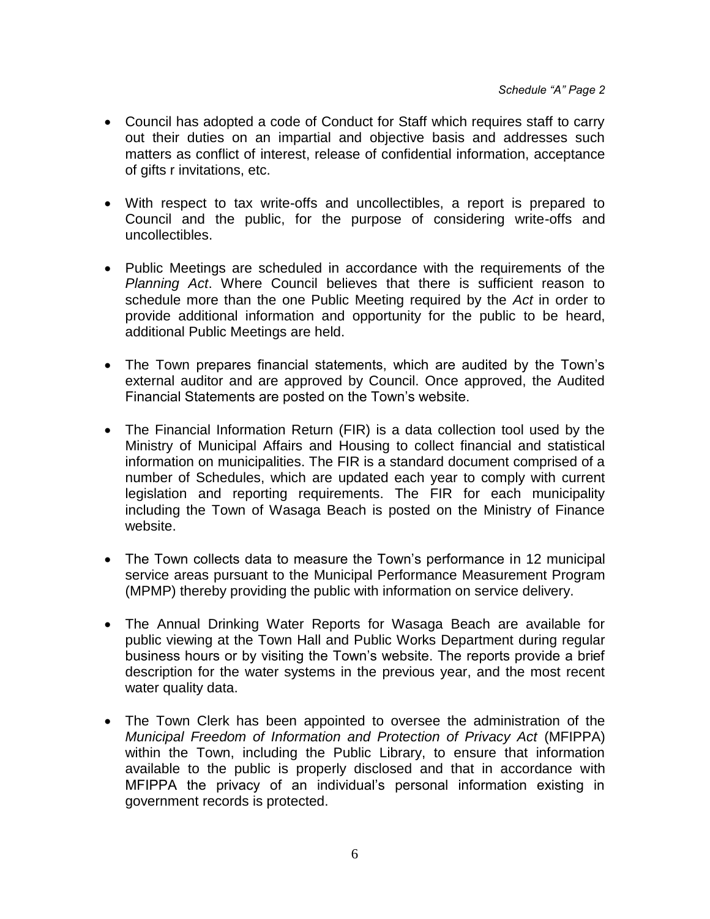- Council has adopted a code of Conduct for Staff which requires staff to carry out their duties on an impartial and objective basis and addresses such matters as conflict of interest, release of confidential information, acceptance of gifts r invitations, etc.
- With respect to tax write-offs and uncollectibles, a report is prepared to Council and the public, for the purpose of considering write-offs and uncollectibles.
- Public Meetings are scheduled in accordance with the requirements of the *Planning Act*. Where Council believes that there is sufficient reason to schedule more than the one Public Meeting required by the *Act* in order to provide additional information and opportunity for the public to be heard, additional Public Meetings are held.
- The Town prepares financial statements, which are audited by the Town's external auditor and are approved by Council. Once approved, the Audited Financial Statements are posted on the Town's website.
- The Financial Information Return (FIR) is a data collection tool used by the Ministry of Municipal Affairs and Housing to collect financial and statistical information on municipalities. The FIR is a standard document comprised of a number of Schedules, which are updated each year to comply with current legislation and reporting requirements. The FIR for each municipality including the Town of Wasaga Beach is posted on the Ministry of Finance website.
- The Town collects data to measure the Town's performance in 12 municipal service areas pursuant to the Municipal Performance Measurement Program (MPMP) thereby providing the public with information on service delivery.
- The Annual Drinking Water Reports for Wasaga Beach are available for public viewing at the Town Hall and Public Works Department during regular business hours or by visiting the Town's website. The reports provide a brief description for the water systems in the previous year, and the most recent water quality data.
- The Town Clerk has been appointed to oversee the administration of the *Municipal Freedom of Information and Protection of Privacy Act* (MFIPPA) within the Town, including the Public Library, to ensure that information available to the public is properly disclosed and that in accordance with MFIPPA the privacy of an individual's personal information existing in government records is protected.